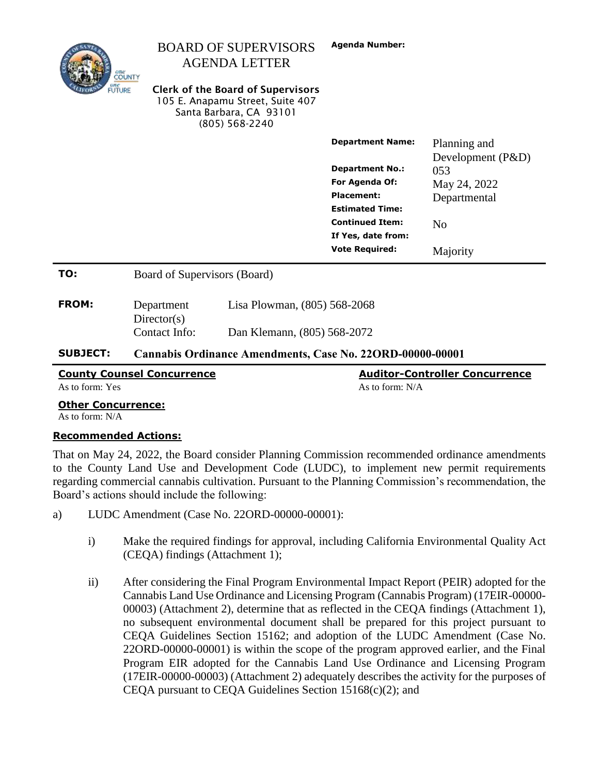| <b>SUBJECT:</b> | Cannabis Ordinance Amendments, Case No. 22ORD-00000-00001 |                                                                                                                           |                                             |                                   |
|-----------------|-----------------------------------------------------------|---------------------------------------------------------------------------------------------------------------------------|---------------------------------------------|-----------------------------------|
|                 | Contact Info:                                             | Dan Klemann, (805) 568-2072                                                                                               |                                             |                                   |
| <b>FROM:</b>    | Department<br>Directory(s)                                | Lisa Plowman, (805) 568-2068                                                                                              |                                             |                                   |
| TO:             | Board of Supervisors (Board)                              |                                                                                                                           |                                             |                                   |
|                 |                                                           |                                                                                                                           | If Yes, date from:<br><b>Vote Required:</b> | Majority                          |
|                 |                                                           |                                                                                                                           | <b>Continued Item:</b>                      | N <sub>o</sub>                    |
|                 |                                                           |                                                                                                                           | <b>Placement:</b><br><b>Estimated Time:</b> | Departmental                      |
|                 |                                                           |                                                                                                                           | <b>For Agenda Of:</b>                       | May 24, 2022                      |
|                 |                                                           |                                                                                                                           | <b>Department No.:</b>                      | 053                               |
|                 |                                                           |                                                                                                                           | <b>Department Name:</b>                     | Planning and<br>Development (P&D) |
| <b>FUTURE</b>   |                                                           | <b>Clerk of the Board of Supervisors</b><br>105 E. Anapamu Street, Suite 407<br>Santa Barbara, CA 93101<br>(805) 568-2240 |                                             |                                   |
|                 | one<br>COUNTY                                             | <b>AGENDA LETTER</b>                                                                                                      |                                             |                                   |
|                 |                                                           | <b>BOARD OF SUPERVISORS</b>                                                                                               | <b>Agenda Number:</b>                       |                                   |

| <b>County Counsel Concurrence</b> | <b>Auditor-Controller Concurrence</b> |  |
|-----------------------------------|---------------------------------------|--|
| As to form: Yes                   | As to form: N/A                       |  |
| <b>Other Concurrence:</b>         |                                       |  |
| As to form: N/A                   |                                       |  |

#### **Recommended Actions:**

That on May 24, 2022, the Board consider Planning Commission recommended ordinance amendments to the County Land Use and Development Code (LUDC), to implement new permit requirements regarding commercial cannabis cultivation. Pursuant to the Planning Commission's recommendation, the Board's actions should include the following:

- a) LUDC Amendment (Case No. 22ORD-00000-00001):
	- i) Make the required findings for approval, including California Environmental Quality Act (CEQA) findings (Attachment 1);
	- ii) After considering the Final Program Environmental Impact Report (PEIR) adopted for the Cannabis Land Use Ordinance and Licensing Program (Cannabis Program) (17EIR-00000- 00003) (Attachment 2), determine that as reflected in the CEQA findings (Attachment 1), no subsequent environmental document shall be prepared for this project pursuant to CEQA Guidelines Section 15162; and adoption of the LUDC Amendment (Case No. 22ORD-00000-00001) is within the scope of the program approved earlier, and the Final Program EIR adopted for the Cannabis Land Use Ordinance and Licensing Program (17EIR-00000-00003) (Attachment 2) adequately describes the activity for the purposes of CEQA pursuant to CEQA Guidelines Section 15168(c)(2); and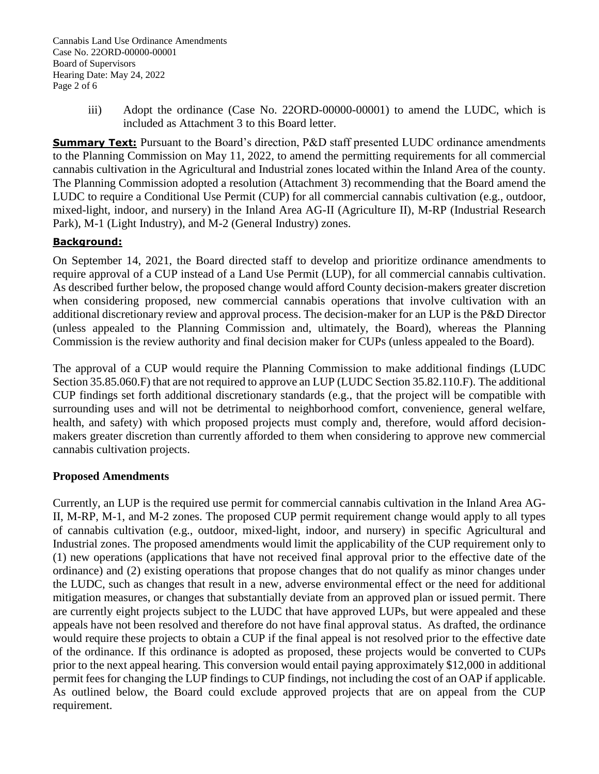Cannabis Land Use Ordinance Amendments Case No. 22ORD-00000-00001 Board of Supervisors Hearing Date: May 24, 2022 Page 2 of 6

> iii) Adopt the ordinance (Case No. 22ORD-00000-00001) to amend the LUDC, which is included as Attachment 3 to this Board letter.

**Summary Text:** Pursuant to the Board's direction, P&D staff presented LUDC ordinance amendments to the Planning Commission on May 11, 2022, to amend the permitting requirements for all commercial cannabis cultivation in the Agricultural and Industrial zones located within the Inland Area of the county. The Planning Commission adopted a resolution (Attachment 3) recommending that the Board amend the LUDC to require a Conditional Use Permit (CUP) for all commercial cannabis cultivation (e.g., outdoor, mixed-light, indoor, and nursery) in the Inland Area AG-II (Agriculture II), M-RP (Industrial Research Park), M-1 (Light Industry), and M-2 (General Industry) zones.

## **Background:**

On September 14, 2021, the Board directed staff to develop and prioritize ordinance amendments to require approval of a CUP instead of a Land Use Permit (LUP), for all commercial cannabis cultivation. As described further below, the proposed change would afford County decision-makers greater discretion when considering proposed, new commercial cannabis operations that involve cultivation with an additional discretionary review and approval process. The decision-maker for an LUP is the P&D Director (unless appealed to the Planning Commission and, ultimately, the Board), whereas the Planning Commission is the review authority and final decision maker for CUPs (unless appealed to the Board).

The approval of a CUP would require the Planning Commission to make additional findings (LUDC Section 35.85.060.F) that are not required to approve an LUP (LUDC Section 35.82.110.F). The additional CUP findings set forth additional discretionary standards (e.g., that the project will be compatible with surrounding uses and will not be detrimental to neighborhood comfort, convenience, general welfare, health, and safety) with which proposed projects must comply and, therefore, would afford decisionmakers greater discretion than currently afforded to them when considering to approve new commercial cannabis cultivation projects.

### **Proposed Amendments**

Currently, an LUP is the required use permit for commercial cannabis cultivation in the Inland Area AG-II, M-RP, M-1, and M-2 zones. The proposed CUP permit requirement change would apply to all types of cannabis cultivation (e.g., outdoor, mixed-light, indoor, and nursery) in specific Agricultural and Industrial zones. The proposed amendments would limit the applicability of the CUP requirement only to (1) new operations (applications that have not received final approval prior to the effective date of the ordinance) and (2) existing operations that propose changes that do not qualify as minor changes under the LUDC, such as changes that result in a new, adverse environmental effect or the need for additional mitigation measures, or changes that substantially deviate from an approved plan or issued permit. There are currently eight projects subject to the LUDC that have approved LUPs, but were appealed and these appeals have not been resolved and therefore do not have final approval status. As drafted, the ordinance would require these projects to obtain a CUP if the final appeal is not resolved prior to the effective date of the ordinance. If this ordinance is adopted as proposed, these projects would be converted to CUPs prior to the next appeal hearing. This conversion would entail paying approximately \$12,000 in additional permit fees for changing the LUP findings to CUP findings, not including the cost of an OAP if applicable. As outlined below, the Board could exclude approved projects that are on appeal from the CUP requirement.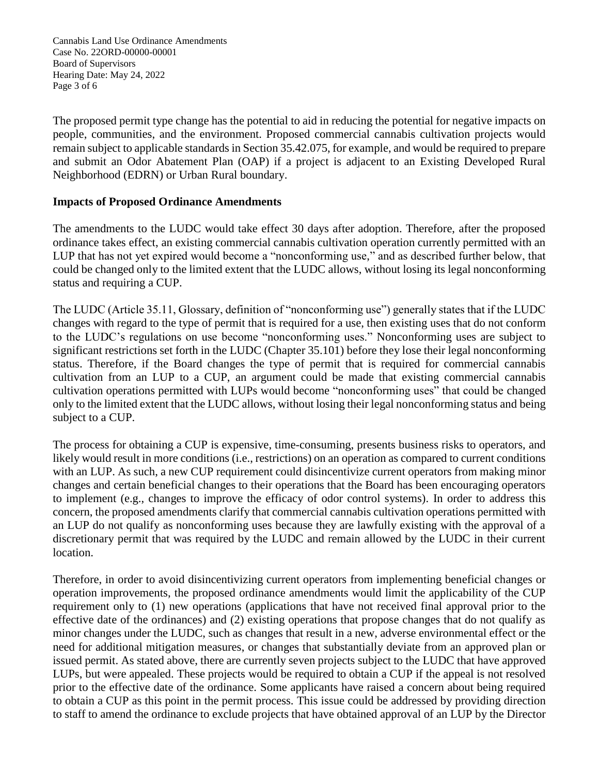Cannabis Land Use Ordinance Amendments Case No. 22ORD-00000-00001 Board of Supervisors Hearing Date: May 24, 2022 Page 3 of 6

The proposed permit type change has the potential to aid in reducing the potential for negative impacts on people, communities, and the environment. Proposed commercial cannabis cultivation projects would remain subject to applicable standards in Section 35.42.075, for example, and would be required to prepare and submit an Odor Abatement Plan (OAP) if a project is adjacent to an Existing Developed Rural Neighborhood (EDRN) or Urban Rural boundary.

## **Impacts of Proposed Ordinance Amendments**

The amendments to the LUDC would take effect 30 days after adoption. Therefore, after the proposed ordinance takes effect, an existing commercial cannabis cultivation operation currently permitted with an LUP that has not yet expired would become a "nonconforming use," and as described further below, that could be changed only to the limited extent that the LUDC allows, without losing its legal nonconforming status and requiring a CUP.

The LUDC (Article 35.11, Glossary, definition of "nonconforming use") generally states that if the LUDC changes with regard to the type of permit that is required for a use, then existing uses that do not conform to the LUDC's regulations on use become "nonconforming uses." Nonconforming uses are subject to significant restrictions set forth in the LUDC (Chapter 35.101) before they lose their legal nonconforming status. Therefore, if the Board changes the type of permit that is required for commercial cannabis cultivation from an LUP to a CUP, an argument could be made that existing commercial cannabis cultivation operations permitted with LUPs would become "nonconforming uses" that could be changed only to the limited extent that the LUDC allows, without losing their legal nonconforming status and being subject to a CUP.

The process for obtaining a CUP is expensive, time-consuming, presents business risks to operators, and likely would result in more conditions (i.e., restrictions) on an operation as compared to current conditions with an LUP. As such, a new CUP requirement could disincentivize current operators from making minor changes and certain beneficial changes to their operations that the Board has been encouraging operators to implement (e.g., changes to improve the efficacy of odor control systems). In order to address this concern, the proposed amendments clarify that commercial cannabis cultivation operations permitted with an LUP do not qualify as nonconforming uses because they are lawfully existing with the approval of a discretionary permit that was required by the LUDC and remain allowed by the LUDC in their current location.

Therefore, in order to avoid disincentivizing current operators from implementing beneficial changes or operation improvements, the proposed ordinance amendments would limit the applicability of the CUP requirement only to (1) new operations (applications that have not received final approval prior to the effective date of the ordinances) and (2) existing operations that propose changes that do not qualify as minor changes under the LUDC, such as changes that result in a new, adverse environmental effect or the need for additional mitigation measures, or changes that substantially deviate from an approved plan or issued permit. As stated above, there are currently seven projects subject to the LUDC that have approved LUPs, but were appealed. These projects would be required to obtain a CUP if the appeal is not resolved prior to the effective date of the ordinance. Some applicants have raised a concern about being required to obtain a CUP as this point in the permit process. This issue could be addressed by providing direction to staff to amend the ordinance to exclude projects that have obtained approval of an LUP by the Director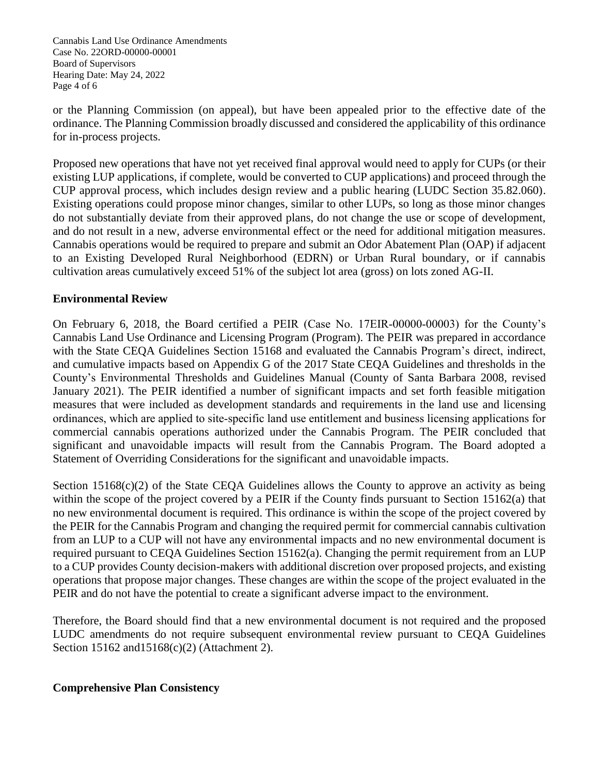Cannabis Land Use Ordinance Amendments Case No. 22ORD-00000-00001 Board of Supervisors Hearing Date: May 24, 2022 Page 4 of 6

or the Planning Commission (on appeal), but have been appealed prior to the effective date of the ordinance. The Planning Commission broadly discussed and considered the applicability of this ordinance for in-process projects.

Proposed new operations that have not yet received final approval would need to apply for CUPs (or their existing LUP applications, if complete, would be converted to CUP applications) and proceed through the CUP approval process, which includes design review and a public hearing (LUDC Section 35.82.060). Existing operations could propose minor changes, similar to other LUPs, so long as those minor changes do not substantially deviate from their approved plans, do not change the use or scope of development, and do not result in a new, adverse environmental effect or the need for additional mitigation measures. Cannabis operations would be required to prepare and submit an Odor Abatement Plan (OAP) if adjacent to an Existing Developed Rural Neighborhood (EDRN) or Urban Rural boundary, or if cannabis cultivation areas cumulatively exceed 51% of the subject lot area (gross) on lots zoned AG-II.

## **Environmental Review**

On February 6, 2018, the Board certified a PEIR (Case No. 17EIR‐00000‐00003) for the County's Cannabis Land Use Ordinance and Licensing Program (Program). The PEIR was prepared in accordance with the State CEQA Guidelines Section 15168 and evaluated the Cannabis Program's direct, indirect, and cumulative impacts based on Appendix G of the 2017 State CEQA Guidelines and thresholds in the County's Environmental Thresholds and Guidelines Manual (County of Santa Barbara 2008, revised January 2021). The PEIR identified a number of significant impacts and set forth feasible mitigation measures that were included as development standards and requirements in the land use and licensing ordinances, which are applied to site‐specific land use entitlement and business licensing applications for commercial cannabis operations authorized under the Cannabis Program. The PEIR concluded that significant and unavoidable impacts will result from the Cannabis Program. The Board adopted a Statement of Overriding Considerations for the significant and unavoidable impacts.

Section  $15168(c)(2)$  of the State CEQA Guidelines allows the County to approve an activity as being within the scope of the project covered by a PEIR if the County finds pursuant to Section 15162(a) that no new environmental document is required. This ordinance is within the scope of the project covered by the PEIR for the Cannabis Program and changing the required permit for commercial cannabis cultivation from an LUP to a CUP will not have any environmental impacts and no new environmental document is required pursuant to CEQA Guidelines Section 15162(a). Changing the permit requirement from an LUP to a CUP provides County decision-makers with additional discretion over proposed projects, and existing operations that propose major changes. These changes are within the scope of the project evaluated in the PEIR and do not have the potential to create a significant adverse impact to the environment.

Therefore, the Board should find that a new environmental document is not required and the proposed LUDC amendments do not require subsequent environmental review pursuant to CEQA Guidelines Section 15162 and 15168(c)(2) (Attachment 2).

### **Comprehensive Plan Consistency**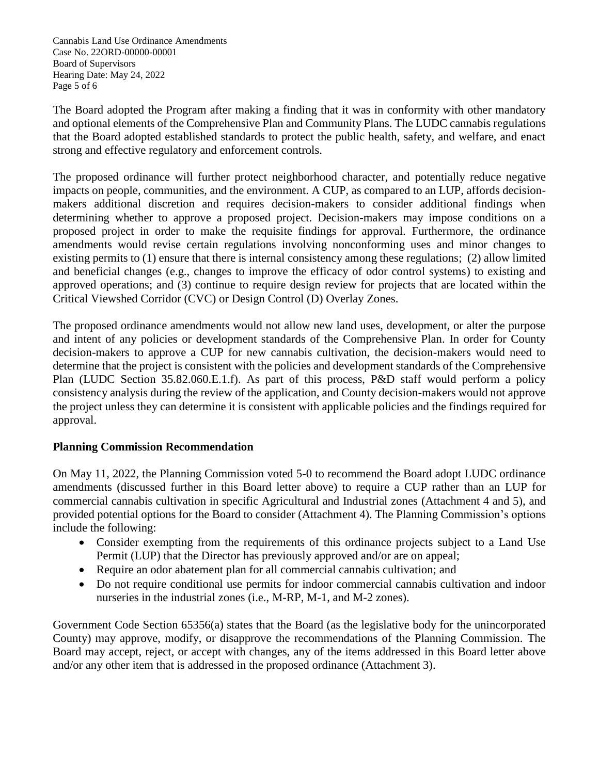Cannabis Land Use Ordinance Amendments Case No. 22ORD-00000-00001 Board of Supervisors Hearing Date: May 24, 2022 Page 5 of 6

The Board adopted the Program after making a finding that it was in conformity with other mandatory and optional elements of the Comprehensive Plan and Community Plans. The LUDC cannabis regulations that the Board adopted established standards to protect the public health, safety, and welfare, and enact strong and effective regulatory and enforcement controls.

The proposed ordinance will further protect neighborhood character, and potentially reduce negative impacts on people, communities, and the environment. A CUP, as compared to an LUP, affords decisionmakers additional discretion and requires decision-makers to consider additional findings when determining whether to approve a proposed project. Decision-makers may impose conditions on a proposed project in order to make the requisite findings for approval. Furthermore, the ordinance amendments would revise certain regulations involving nonconforming uses and minor changes to existing permits to (1) ensure that there is internal consistency among these regulations; (2) allow limited and beneficial changes (e.g., changes to improve the efficacy of odor control systems) to existing and approved operations; and (3) continue to require design review for projects that are located within the Critical Viewshed Corridor (CVC) or Design Control (D) Overlay Zones.

The proposed ordinance amendments would not allow new land uses, development, or alter the purpose and intent of any policies or development standards of the Comprehensive Plan. In order for County decision-makers to approve a CUP for new cannabis cultivation, the decision-makers would need to determine that the project is consistent with the policies and development standards of the Comprehensive Plan (LUDC Section 35.82.060.E.1.f). As part of this process, P&D staff would perform a policy consistency analysis during the review of the application, and County decision-makers would not approve the project unless they can determine it is consistent with applicable policies and the findings required for approval.

# **Planning Commission Recommendation**

On May 11, 2022, the Planning Commission voted 5-0 to recommend the Board adopt LUDC ordinance amendments (discussed further in this Board letter above) to require a CUP rather than an LUP for commercial cannabis cultivation in specific Agricultural and Industrial zones (Attachment 4 and 5), and provided potential options for the Board to consider (Attachment 4). The Planning Commission's options include the following:

- Consider exempting from the requirements of this ordinance projects subject to a Land Use Permit (LUP) that the Director has previously approved and/or are on appeal;
- Require an odor abatement plan for all commercial cannabis cultivation; and
- Do not require conditional use permits for indoor commercial cannabis cultivation and indoor nurseries in the industrial zones (i.e., M-RP, M-1, and M-2 zones).

Government Code Section 65356(a) states that the Board (as the legislative body for the unincorporated County) may approve, modify, or disapprove the recommendations of the Planning Commission. The Board may accept, reject, or accept with changes, any of the items addressed in this Board letter above and/or any other item that is addressed in the proposed ordinance (Attachment 3).